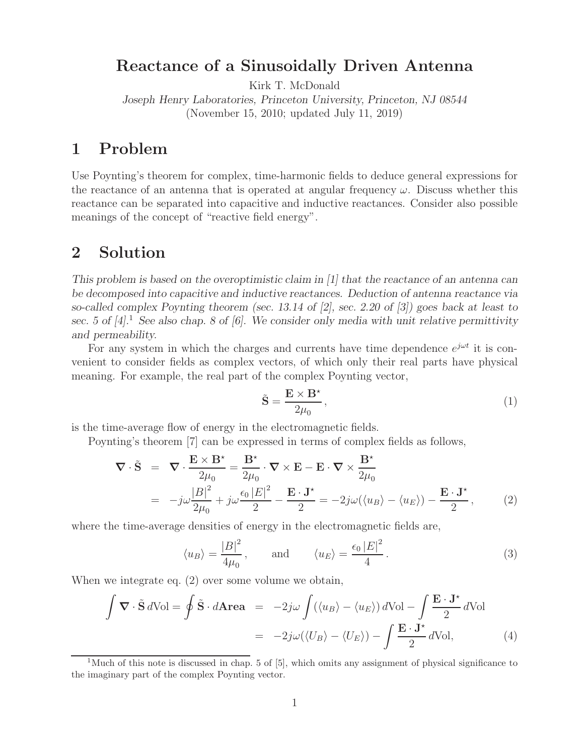## **Reactance of a Sinusoidally Driven Antenna**

Kirk T. McDonald

*Joseph Henry Laboratories, Princeton University, Princeton, NJ 08544* (November 15, 2010; updated July 11, 2019)

## **1 Problem**

Use Poynting's theorem for complex, time-harmonic fields to deduce general expressions for the reactance of an antenna that is operated at angular frequency  $\omega$ . Discuss whether this reactance can be separated into capacitive and inductive reactances. Consider also possible meanings of the concept of "reactive field energy".

### **2 Solution**

*This problem is based on the overoptimistic claim in [1] that the reactance of an antenna can be decomposed into capacitive and inductive reactances. Deduction of antenna reactance via so-called complex Poynting theorem (sec. 13.14 of [2], sec. 2.20 of [3]) goes back at least to sec. 5 of [4].*<sup>1</sup> *See also chap. 8 of [6]. We consider only media with unit relative permittivity and permeability.*

For any system in which the charges and currents have time dependence  $e^{j\omega t}$  it is convenient to consider fields as complex vectors, of which only their real parts have physical meaning. For example, the real part of the complex Poynting vector,

$$
\tilde{\mathbf{S}} = \frac{\mathbf{E} \times \mathbf{B}^{\star}}{2\mu_0},\tag{1}
$$

is the time-average flow of energy in the electromagnetic fields.

Poynting's theorem [7] can be expressed in terms of complex fields as follows,

$$
\nabla \cdot \tilde{\mathbf{S}} = \nabla \cdot \frac{\mathbf{E} \times \mathbf{B}^*}{2\mu_0} = \frac{\mathbf{B}^*}{2\mu_0} \cdot \nabla \times \mathbf{E} - \mathbf{E} \cdot \nabla \times \frac{\mathbf{B}^*}{2\mu_0}
$$
  
= 
$$
-j\omega \frac{|B|^2}{2\mu_0} + j\omega \frac{\epsilon_0 |E|^2}{2} - \frac{\mathbf{E} \cdot \mathbf{J}^*}{2} = -2j\omega(\langle u_B \rangle - \langle u_E \rangle) - \frac{\mathbf{E} \cdot \mathbf{J}^*}{2}, \quad (2)
$$

where the time-average densities of energy in the electromagnetic fields are,

$$
\langle u_B \rangle = \frac{|B|^2}{4\mu_0}
$$
, and  $\langle u_E \rangle = \frac{\epsilon_0 |E|^2}{4}$ . (3)

When we integrate eq. (2) over some volume we obtain,

$$
\int \mathbf{\nabla} \cdot \tilde{\mathbf{S}} d\text{Vol} = \oint \tilde{\mathbf{S}} \cdot d\mathbf{Area} = -2j\omega \int (\langle u_B \rangle - \langle u_E \rangle) d\text{Vol} - \int \frac{\mathbf{E} \cdot \mathbf{J}^*}{2} d\text{Vol}
$$

$$
= -2j\omega (\langle U_B \rangle - \langle U_E \rangle) - \int \frac{\mathbf{E} \cdot \mathbf{J}^*}{2} d\text{Vol}, \tag{4}
$$

<sup>&</sup>lt;sup>1</sup>Much of this note is discussed in chap. 5 of [5], which omits any assignment of physical significance to the imaginary part of the complex Poynting vector.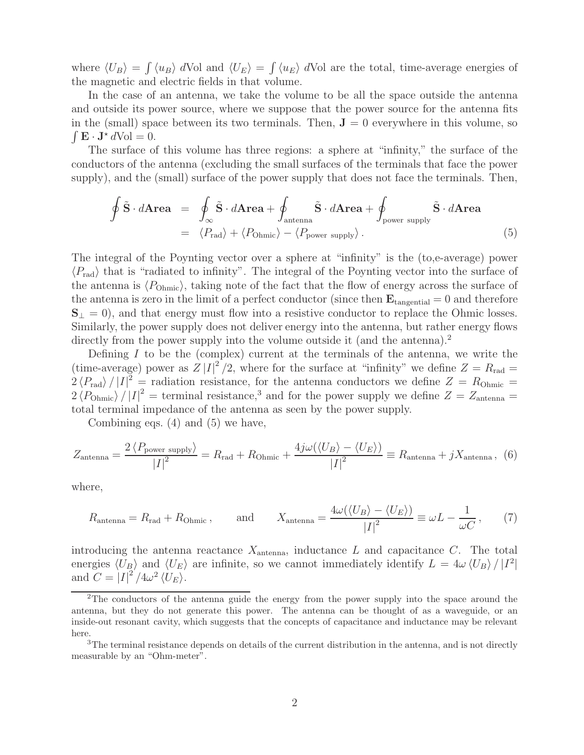where  $\langle U_B \rangle = \int \langle u_B \rangle dVol$  and  $\langle U_E \rangle = \int \langle u_E \rangle dVol$  are the total, time-average energies of the magnetic and electric fields in that volume.

In the case of an antenna, we take the volume to be all the space outside the antenna and outside its power source, where we suppose that the power source for the antenna fits in the (small) space between its two terminals. Then,  $J = 0$  everywhere in this volume, so  $\int \mathbf{E} \cdot \mathbf{J}^* dVol = 0.$ 

The surface of this volume has three regions: a sphere at "infinity," the surface of the conductors of the antenna (excluding the small surfaces of the terminals that face the power supply), and the (small) surface of the power supply that does not face the terminals. Then,

$$
\oint \tilde{\mathbf{S}} \cdot d\mathbf{Area} = \oint_{\infty} \tilde{\mathbf{S}} \cdot d\mathbf{Area} + \oint_{\text{antenna}} \tilde{\mathbf{S}} \cdot d\mathbf{Area} + \oint_{\text{power supply}} \tilde{\mathbf{S}} \cdot d\mathbf{Area}
$$
\n
$$
= \langle P_{\text{rad}} \rangle + \langle P_{\text{Ohmic}} \rangle - \langle P_{\text{power supply}} \rangle. \tag{5}
$$

The integral of the Poynting vector over a sphere at "infinity" is the (to,e-average) power  $\langle P_{\text{rad}} \rangle$  that is "radiated to infinity". The integral of the Poynting vector into the surface of the antenna is  $\langle P_{\text{Ohmic}} \rangle$ , taking note of the fact that the flow of energy across the surface of the antenna is zero in the limit of a perfect conductor (since then  $\mathbf{E}_{\text{tangential}} = 0$  and therefore  $\mathbf{S}_{\perp} = 0$ , and that energy must flow into a resistive conductor to replace the Ohmic losses. Similarly, the power supply does not deliver energy into the antenna, but rather energy flows directly from the power supply into the volume outside it (and the antenna).<sup>2</sup>

Defining  $I$  to be the (complex) current at the terminals of the antenna, we write the (time-average) power as  $Z|I|^2/2$ , where for the surface at "infinity" we define  $Z = R_{rad}$  $2\langle P_{\text{rad}}\rangle / |I|^2$  = radiation resistance, for the antenna conductors we define  $Z = R_{\text{Ohmic}} =$  $2 \langle P_{\text{Ohmic}} \rangle / |I|^2$  = terminal resistance,<sup>3</sup> and for the power supply we define  $Z = Z_{\text{antenna}} =$ total terminal impedance of the antenna as seen by the power supply.

Combining eqs. (4) and (5) we have,

$$
Z_{\text{antenna}} = \frac{2 \langle P_{\text{power supply}} \rangle}{|I|^2} = R_{\text{rad}} + R_{\text{Ohmic}} + \frac{4j\omega(\langle U_B \rangle - \langle U_E \rangle)}{|I|^2} \equiv R_{\text{antenna}} + jX_{\text{antenna}}, \tag{6}
$$

where,

$$
R_{\text{antenna}} = R_{\text{rad}} + R_{\text{Ohmic}}, \quad \text{and} \quad X_{\text{antenna}} = \frac{4\omega(\langle U_B \rangle - \langle U_E \rangle)}{|I|^2} \equiv \omega L - \frac{1}{\omega C}, \quad (7)
$$

introducing the antenna reactance  $X_{\text{antenna}}$ , inductance  $L$  and capacitance  $C$ . The total energies  $\langle U_B \rangle$  and  $\langle U_E \rangle$  are infinite, so we cannot immediately identify  $L = 4\omega \langle U_B \rangle / |I^2|$ and  $C = |I|^2 / 4\omega^2 \langle U_E \rangle$ .

<sup>&</sup>lt;sup>2</sup>The conductors of the antenna guide the energy from the power supply into the space around the antenna, but they do not generate this power. The antenna can be thought of as a waveguide, or an inside-out resonant cavity, which suggests that the concepts of capacitance and inductance may be relevant here.

<sup>&</sup>lt;sup>3</sup>The terminal resistance depends on details of the current distribution in the antenna, and is not directly measurable by an "Ohm-meter".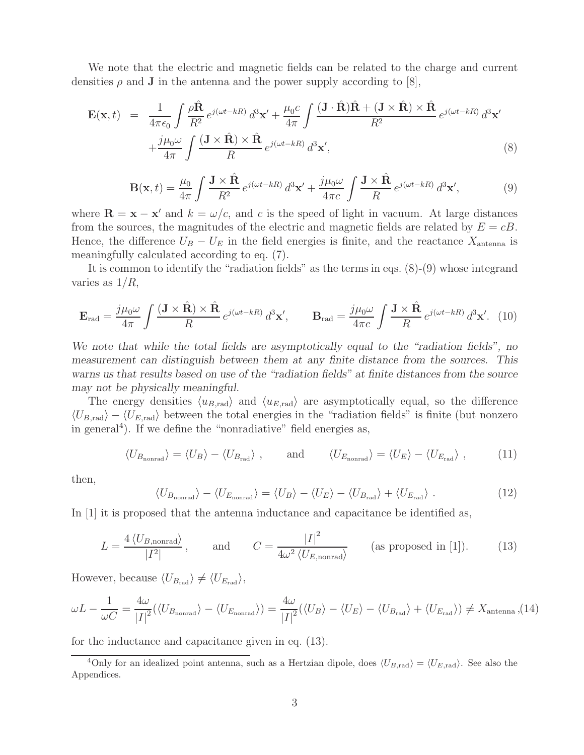We note that the electric and magnetic fields can be related to the charge and current densities  $\rho$  and **J** in the antenna and the power supply according to [8],

$$
\mathbf{E}(\mathbf{x},t) = \frac{1}{4\pi\epsilon_0} \int \frac{\rho \hat{\mathbf{R}}}{R^2} e^{j(\omega t - kR)} d^3 \mathbf{x}' + \frac{\mu_0 c}{4\pi} \int \frac{(\mathbf{J} \cdot \hat{\mathbf{R}}) \hat{\mathbf{R}} + (\mathbf{J} \times \hat{\mathbf{R}}) \times \hat{\mathbf{R}}}{R^2} e^{j(\omega t - kR)} d^3 \mathbf{x}'
$$

$$
+ \frac{j\mu_0 \omega}{4\pi} \int \frac{(\mathbf{J} \times \hat{\mathbf{R}}) \times \hat{\mathbf{R}}}{R} e^{j(\omega t - kR)} d^3 \mathbf{x}', \tag{8}
$$

$$
\mathbf{B}(\mathbf{x},t) = \frac{\mu_0}{4\pi} \int \frac{\mathbf{J} \times \hat{\mathbf{R}}}{R^2} e^{j(\omega t - kR)} d^3 \mathbf{x}' + \frac{j\mu_0 \omega}{4\pi c} \int \frac{\mathbf{J} \times \hat{\mathbf{R}}}{R} e^{j(\omega t - kR)} d^3 \mathbf{x}',\tag{9}
$$

where  $\mathbf{R} = \mathbf{x} - \mathbf{x}'$  and  $k = \omega/c$ , and c is the speed of light in vacuum. At large distances from the sources, the magnitudes of the electric and magnetic fields are related by  $E = cB$ . Hence, the difference  $U_B - U_E$  in the field energies is finite, and the reactance  $X_{\text{antenna}}$  is meaningfully calculated according to eq. (7).

It is common to identify the "radiation fields" as the terms in eqs. (8)-(9) whose integrand varies as  $1/R$ ,

$$
\mathbf{E}_{\rm rad} = \frac{j\mu_0\omega}{4\pi} \int \frac{(\mathbf{J} \times \hat{\mathbf{R}}) \times \hat{\mathbf{R}}}{R} e^{j(\omega t - kR)} d^3 \mathbf{x}', \qquad \mathbf{B}_{\rm rad} = \frac{j\mu_0\omega}{4\pi c} \int \frac{\mathbf{J} \times \hat{\mathbf{R}}}{R} e^{j(\omega t - kR)} d^3 \mathbf{x}'. \tag{10}
$$

*We note that while the total fields are asymptotically equal to the "radiation fields", no measurement can distinguish between them at any finite distance from the sources. This warns us that results based on use of the "radiation fields" at finite distances from the source may not be physically meaningful.*

The energy densities  $\langle u_{B,\text{rad}} \rangle$  and  $\langle u_{E,\text{rad}} \rangle$  are asymptotically equal, so the difference  $\langle U_{B,\text{rad}}\rangle - \langle U_{E,\text{rad}}\rangle$  between the total energies in the "radiation fields" is finite (but nonzero in general<sup>4</sup>). If we define the "nonradiative" field energies as,

$$
\langle U_{B_{\text{nonrad}}} \rangle = \langle U_B \rangle - \langle U_{B_{\text{rad}}} \rangle \;, \qquad \text{and} \qquad \langle U_{E_{\text{nonrad}}} \rangle = \langle U_E \rangle - \langle U_{E_{\text{rad}}} \rangle \;, \tag{11}
$$

then,

$$
\langle U_{B_{\text{nonrad}}} \rangle - \langle U_{E_{\text{nonrad}}} \rangle = \langle U_B \rangle - \langle U_E \rangle - \langle U_{B_{\text{rad}}} \rangle + \langle U_{E_{\text{rad}}} \rangle. \tag{12}
$$

In [1] it is proposed that the antenna inductance and capacitance be identified as,

$$
L = \frac{4 \langle U_{B,\text{nonrad}} \rangle}{|I^2|}, \quad \text{and} \quad C = \frac{|I|^2}{4\omega^2 \langle U_{E,\text{nonrad}} \rangle} \quad \text{(as proposed in [1]).} \tag{13}
$$

However, because  $\langle U_{B_{\rm rad}} \rangle \neq \langle U_{E_{\rm rad}} \rangle$ ,

$$
\omega L - \frac{1}{\omega C} = \frac{4\omega}{|I|^2} (\langle U_{B_{\text{nonrad}}} \rangle - \langle U_{E_{\text{nonrad}}} \rangle) = \frac{4\omega}{|I|^2} (\langle U_B \rangle - \langle U_E \rangle - \langle U_{B_{\text{rad}}} \rangle) + \langle U_{E_{\text{rad}}} \rangle) \neq X_{\text{antenna}} , (14)
$$

for the inductance and capacitance given in eq. (13).

<sup>&</sup>lt;sup>4</sup>Only for an idealized point antenna, such as a Hertzian dipole, does  $\langle U_{B,\text{rad}} \rangle = \langle U_{E,\text{rad}} \rangle$ . See also the Appendices.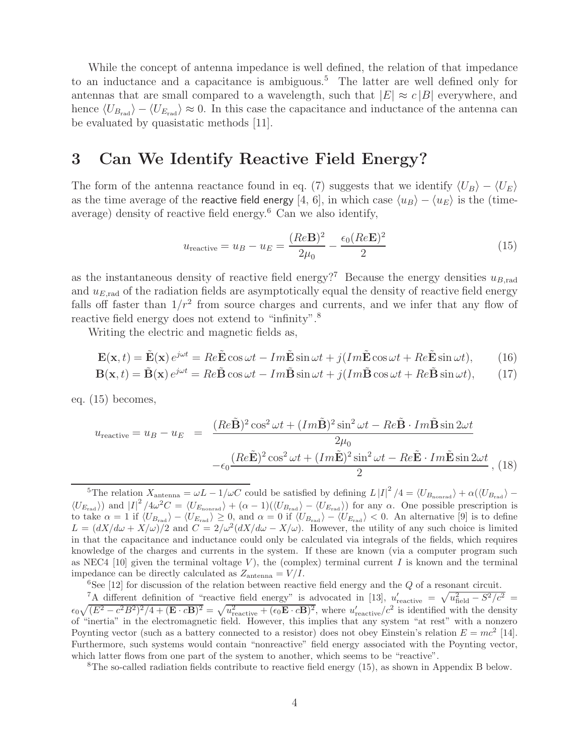While the concept of antenna impedance is well defined, the relation of that impedance to an inductance and a capacitance is ambiguous.<sup>5</sup> The latter are well defined only for antennas that are small compared to a wavelength, such that  $|E| \approx c|B|$  everywhere, and hence  $\langle U_{B_{\rm rad}} \rangle - \langle U_{E_{\rm rad}} \rangle \approx 0$ . In this case the capacitance and inductance of the antenna can be evaluated by quasistatic methods [11].

#### **3 Can We Identify Reactive Field Energy?**

The form of the antenna reactance found in eq. (7) suggests that we identify  $\langle U_B \rangle - \langle U_E \rangle$ as the time average of the reactive field energy [4, 6], in which case  $\langle u_B \rangle - \langle u_E \rangle$  is the (timeaverage) density of reactive field energy. $6$  Can we also identify,

$$
u_{\text{reactive}} = u_B - u_E = \frac{(Re\mathbf{B})^2}{2\mu_0} - \frac{\epsilon_0 (Re\mathbf{E})^2}{2}
$$
 (15)

as the instantaneous density of reactive field energy?<sup>7</sup> Because the energy densities  $u_{B,rad}$ and  $u_{E,\text{rad}}$  of the radiation fields are asymptotically equal the density of reactive field energy falls off faster than  $1/r^2$  from source charges and currents, and we infer that any flow of reactive field energy does not extend to "infinity".<sup>8</sup>

Writing the electric and magnetic fields as,

$$
\mathbf{E}(\mathbf{x},t) = \tilde{\mathbf{E}}(\mathbf{x})e^{j\omega t} = Re\tilde{\mathbf{E}}\cos\omega t - Im\tilde{\mathbf{E}}\sin\omega t + j(Im\tilde{\mathbf{E}}\cos\omega t + Re\tilde{\mathbf{E}}\sin\omega t),
$$
 (16)

$$
\mathbf{B}(\mathbf{x},t) = \tilde{\mathbf{B}}(\mathbf{x})e^{j\omega t} = Re\tilde{\mathbf{B}}\cos\omega t - Im\tilde{\mathbf{B}}\sin\omega t + j(Im\tilde{\mathbf{B}}\cos\omega t + Re\tilde{\mathbf{B}}\sin\omega t),
$$
 (17)

eq. (15) becomes,

$$
u_{\text{reactive}} = u_B - u_E = \frac{(Re\tilde{\mathbf{B}})^2 \cos^2 \omega t + (Im\tilde{\mathbf{B}})^2 \sin^2 \omega t - Re\tilde{\mathbf{B}} \cdot Im\tilde{\mathbf{B}} \sin 2\omega t}{2\mu_0} - \epsilon_0 \frac{(Re\tilde{\mathbf{E}})^2 \cos^2 \omega t + (Im\tilde{\mathbf{E}})^2 \sin^2 \omega t - Re\tilde{\mathbf{E}} \cdot Im\tilde{\mathbf{E}} \sin 2\omega t}{2}, (18)
$$

<sup>5</sup>The relation  $X_{\text{antenna}} = \omega L - 1/\omega C$  could be satisfied by defining  $L |I|^2 / 4 = \langle U_{B_{\text{nonrad}}} \rangle + \alpha (\langle U_{B_{\text{rad}}} \rangle \langle U_{E_{\rm rad}} \rangle$  and  $|I|^2/4\omega^2 C = \langle U_{E_{\rm nonrad}} \rangle + (\alpha - 1)(\langle U_{B_{\rm rad}} \rangle - \langle U_{E_{\rm rad}} \rangle)$  for any  $\alpha$ . One possible prescription is to take  $\alpha = 1$  if  $\langle U_{B_{\rm rad}} \rangle - \langle U_{E_{\rm rad}} \rangle \ge 0$ , and  $\alpha = 0$  if  $\langle U_{B_{\rm rad}} \rangle - \langle U_{E_{\rm rad}} \rangle < 0$ . An alternative [9] is to define  $L = (dX/d\omega + X/\omega)/2$  and  $C = 2/\omega^2 (dX/d\omega - X/\omega)$ . However, the utility of any such choice is limited in that the capacitance and inductance could only be calculated via integrals of the fields, which requires knowledge of the charges and currents in the system. If these are known (via a computer program such as NEC4 [10] given the terminal voltage V), the (complex) terminal current I is known and the terminal impedance can be directly calculated as  $Z_{\text{antenna}} = V/I$ .<br><sup>6</sup>See [12] for discussion of the relation between reactive field energy and the Q of a resonant circuit.

<sup>7</sup>A different definition of "reactive field energy" is advocated in [13],  $u'_{\text{reactive}} = \sqrt{u_{\text{field}}^2 - S^2/c^2}$  $\epsilon_0\sqrt{(E^2-c^2B^2)^2/4+(\mathbf{E}\cdot c\mathbf{B})^2}=\sqrt{u_{\text{reactive}}^2+(\epsilon_0\mathbf{E}\cdot c\mathbf{B})^2}$ , where  $u'_{\text{reactive}}/c^2$  is identified with the density of "inertia" in the electromagnetic field. However, this implies that any system "at rest" with a nonzero Poynting vector (such as a battery connected to a resistor) does not obey Einstein's relation  $E = mc^2$  [14]. Furthermore, such systems would contain "nonreactive" field energy associated with the Poynting vector, which latter flows from one part of the system to another, which seems to be "reactive".

<sup>8</sup>The so-called radiation fields contribute to reactive field energy (15), as shown in Appendix B below.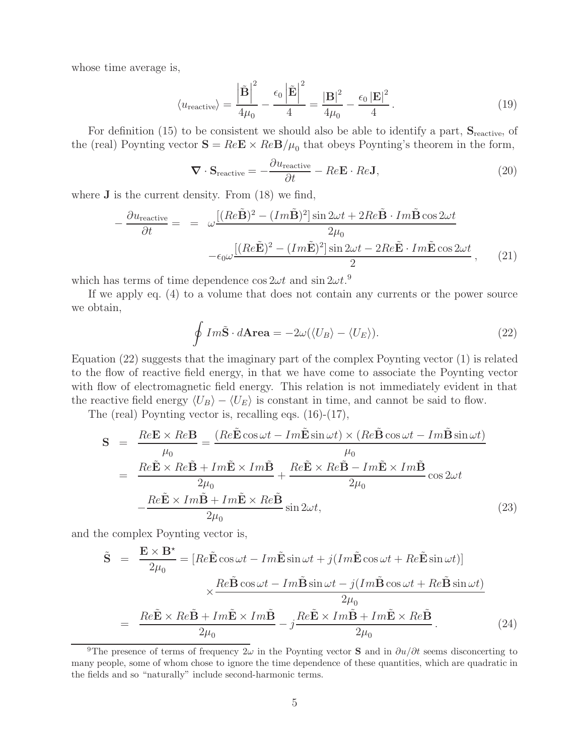whose time average is,

$$
\langle u_{\text{reactive}} \rangle = \frac{\left| \tilde{\mathbf{B}} \right|^2}{4\mu_0} - \frac{\epsilon_0 \left| \tilde{\mathbf{E}} \right|^2}{4} = \frac{| \mathbf{B} |^2}{4\mu_0} - \frac{\epsilon_0 |\mathbf{E} |^2}{4}.
$$
 (19)

For definition (15) to be consistent we should also be able to identify a part,  $S_{\text{reactive}}$ , of the (real) Poynting vector  $\mathbf{S} = Re\mathbf{E} \times Re\mathbf{B}/\mu_0$  that obeys Poynting's theorem in the form,

$$
\nabla \cdot \mathbf{S}_{\text{reactive}} = -\frac{\partial u_{\text{reactive}}}{\partial t} - Re \mathbf{E} \cdot Re \mathbf{J},\tag{20}
$$

where **J** is the current density. From (18) we find,

$$
-\frac{\partial u_{\text{reactive}}}{\partial t} = = \omega \frac{[(Re\tilde{\mathbf{B}})^2 - (Im\tilde{\mathbf{B}})^2] \sin 2\omega t + 2Re\tilde{\mathbf{B}} \cdot Im\tilde{\mathbf{B}} \cos 2\omega t}{2\mu_0} -\epsilon_0 \omega \frac{[(Re\tilde{\mathbf{E}})^2 - (Im\tilde{\mathbf{E}})^2] \sin 2\omega t - 2Re\tilde{\mathbf{E}} \cdot Im\tilde{\mathbf{E}} \cos 2\omega t}{2}, \quad (21)
$$

which has terms of time dependence  $\cos 2\omega t$  and  $\sin 2\omega t$ .<sup>9</sup>

If we apply eq. (4) to a volume that does not contain any currents or the power source we obtain,

$$
\oint Im\tilde{\mathbf{S}} \cdot d\mathbf{Area} = -2\omega(\langle U_B \rangle - \langle U_E \rangle). \tag{22}
$$

Equation (22) suggests that the imaginary part of the complex Poynting vector (1) is related to the flow of reactive field energy, in that we have come to associate the Poynting vector with flow of electromagnetic field energy. This relation is not immediately evident in that the reactive field energy  $\langle U_B \rangle - \langle U_E \rangle$  is constant in time, and cannot be said to flow.

The (real) Poynting vector is, recalling eqs. (16)-(17),

$$
\mathbf{S} = \frac{Re\mathbf{E} \times Re\mathbf{B}}{\mu_0} = \frac{(Re\tilde{\mathbf{E}}\cos\omega t - Im\tilde{\mathbf{E}}\sin\omega t) \times (Re\tilde{\mathbf{B}}\cos\omega t - Im\tilde{\mathbf{B}}\sin\omega t)}{\mu_0}
$$
  
= 
$$
\frac{Re\tilde{\mathbf{E}} \times Re\tilde{\mathbf{B}} + Im\tilde{\mathbf{E}} \times Im\tilde{\mathbf{B}}}{2\mu_0} + \frac{Re\tilde{\mathbf{E}} \times Re\tilde{\mathbf{B}} - Im\tilde{\mathbf{E}} \times Im\tilde{\mathbf{B}}}{2\mu_0}\cos 2\omega t
$$
  

$$
-\frac{Re\tilde{\mathbf{E}} \times Im\tilde{\mathbf{B}} + Im\tilde{\mathbf{E}} \times Re\tilde{\mathbf{B}}}{2\mu_0}\sin 2\omega t,
$$
(23)

and the complex Poynting vector is,

$$
\tilde{\mathbf{S}} = \frac{\mathbf{E} \times \mathbf{B}^*}{2\mu_0} = [Re\tilde{\mathbf{E}}\cos\omega t - Im\tilde{\mathbf{E}}\sin\omega t + j(Im\tilde{\mathbf{E}}\cos\omega t + Re\tilde{\mathbf{E}}\sin\omega t)]
$$
  

$$
\times \frac{Re\tilde{\mathbf{B}}\cos\omega t - Im\tilde{\mathbf{B}}\sin\omega t - j(Im\tilde{\mathbf{B}}\cos\omega t + Re\tilde{\mathbf{B}}\sin\omega t)}{2\mu_0}
$$
  

$$
= \frac{Re\tilde{\mathbf{E}} \times Re\tilde{\mathbf{B}} + Im\tilde{\mathbf{E}} \times Im\tilde{\mathbf{B}}}{2\mu_0} - j\frac{Re\tilde{\mathbf{E}} \times Im\tilde{\mathbf{B}} + Im\tilde{\mathbf{E}} \times Re\tilde{\mathbf{B}}}{2\mu_0}.
$$
 (24)

<sup>&</sup>lt;sup>9</sup>The presence of terms of frequency  $2\omega$  in the Poynting vector **S** and in  $\partial u/\partial t$  seems disconcerting to many people, some of whom chose to ignore the time dependence of these quantities, which are quadratic in the fields and so "naturally" include second-harmonic terms.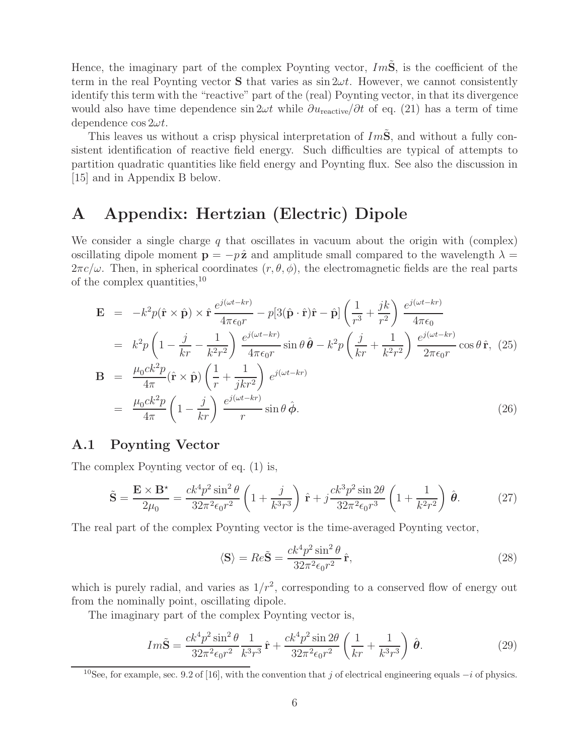Hence, the imaginary part of the complex Poynting vector,  $Im\ddot{S}$ , is the coefficient of the term in the real Poynting vector **S** that varies as  $\sin 2\omega t$ . However, we cannot consistently identify this term with the "reactive" part of the (real) Poynting vector, in that its divergence would also have time dependence sin  $2\omega t$  while  $\partial u_{\text{reactive}}/\partial t$  of eq. (21) has a term of time dependence  $\cos 2\omega t$ .

This leaves us without a crisp physical interpretation of  $Im\tilde{S}$ , and without a fully consistent identification of reactive field energy. Such difficulties are typical of attempts to partition quadratic quantities like field energy and Poynting flux. See also the discussion in [15] and in Appendix B below.

#### **A Appendix: Hertzian (Electric) Dipole**

We consider a single charge  $q$  that oscillates in vacuum about the origin with (complex) oscillating dipole moment **p** =  $-p\hat{z}$  and amplitude small compared to the wavelength  $\lambda$  =  $2\pi c/\omega$ . Then, in spherical coordinates  $(r, \theta, \phi)$ , the electromagnetic fields are the real parts of the complex quantities,<sup>10</sup>

$$
\mathbf{E} = -k^2 p(\hat{\mathbf{r}} \times \hat{\mathbf{p}}) \times \hat{\mathbf{r}} \frac{e^{j(\omega t - kr)}}{4\pi\epsilon_0 r} - p[3(\hat{\mathbf{p}} \cdot \hat{\mathbf{r}})\hat{\mathbf{r}} - \hat{\mathbf{p}}] \left(\frac{1}{r^3} + \frac{jk}{r^2}\right) \frac{e^{j(\omega t - kr)}}{4\pi\epsilon_0}
$$
  
\n
$$
= k^2 p \left(1 - \frac{j}{kr} - \frac{1}{k^2 r^2}\right) \frac{e^{j(\omega t - kr)}}{4\pi\epsilon_0 r} \sin \theta \hat{\boldsymbol{\theta}} - k^2 p \left(\frac{j}{kr} + \frac{1}{k^2 r^2}\right) \frac{e^{j(\omega t - kr)}}{2\pi\epsilon_0 r} \cos \theta \hat{\mathbf{r}}, (25)
$$
  
\n
$$
\mathbf{B} = \frac{\mu_0 c k^2 p}{4\pi} (\hat{\mathbf{r}} \times \hat{\mathbf{p}}) \left(\frac{1}{r} + \frac{1}{jkr^2}\right) e^{j(\omega t - kr)}
$$
  
\n
$$
= \frac{\mu_0 c k^2 p}{4\pi} \left(1 - \frac{j}{kr}\right) \frac{e^{j(\omega t - kr)}}{r} \sin \theta \hat{\boldsymbol{\phi}}.
$$
 (26)

#### **A.1 Poynting Vector**

The complex Poynting vector of eq. (1) is,

$$
\tilde{\mathbf{S}} = \frac{\mathbf{E} \times \mathbf{B}^{\star}}{2\mu_0} = \frac{ck^4 p^2 \sin^2 \theta}{32\pi^2 \epsilon_0 r^2} \left(1 + \frac{j}{k^3 r^3}\right) \hat{\mathbf{r}} + j \frac{ck^3 p^2 \sin 2\theta}{32\pi^2 \epsilon_0 r^3} \left(1 + \frac{1}{k^2 r^2}\right) \hat{\boldsymbol{\theta}}.\tag{27}
$$

The real part of the complex Poynting vector is the time-averaged Poynting vector,

$$
\langle \mathbf{S} \rangle = Re\tilde{\mathbf{S}} = \frac{ck^4 p^2 \sin^2 \theta}{32\pi^2 \epsilon_0 r^2} \hat{\mathbf{r}},\tag{28}
$$

which is purely radial, and varies as  $1/r^2$ , corresponding to a conserved flow of energy out from the nominally point, oscillating dipole.

The imaginary part of the complex Poynting vector is,

$$
Im\tilde{\mathbf{S}} = \frac{ck^4p^2\sin^2\theta}{32\pi^2\epsilon_0r^2}\frac{1}{k^3r^3}\hat{\mathbf{r}} + \frac{ck^4p^2\sin 2\theta}{32\pi^2\epsilon_0r^2}\left(\frac{1}{kr} + \frac{1}{k^3r^3}\right)\hat{\boldsymbol{\theta}}.\tag{29}
$$

<sup>&</sup>lt;sup>10</sup>See, for example, sec. 9.2 of [16], with the convention that j of electrical engineering equals  $-i$  of physics.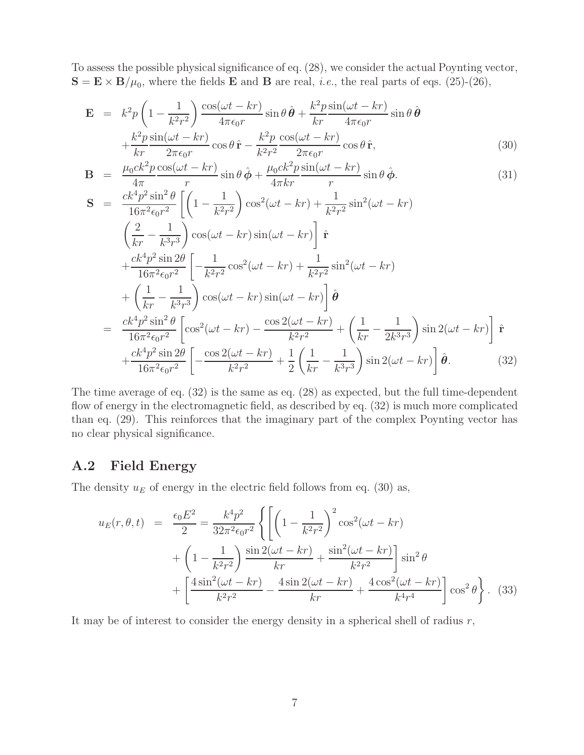To assess the possible physical significance of eq. (28), we consider the actual Poynting vector,  $\mathbf{S} = \mathbf{E} \times \mathbf{B}/\mu_0$ , where the fields **E** and **B** are real, *i.e.*, the real parts of eqs. (25)-(26),

$$
\mathbf{E} = k^2 p \left( 1 - \frac{1}{k^2 r^2} \right) \frac{\cos(\omega t - kr)}{4\pi \epsilon_0 r} \sin \theta \, \hat{\boldsymbol{\theta}} + \frac{k^2 p}{kr} \frac{\sin(\omega t - kr)}{4\pi \epsilon_0 r} \sin \theta \, \hat{\boldsymbol{\theta}} \n+ \frac{k^2 p}{kr} \frac{\sin(\omega t - kr)}{2\pi \epsilon_0 r} \cos \theta \, \hat{\mathbf{r}} - \frac{k^2 p}{k^2 r^2} \frac{\cos(\omega t - kr)}{2\pi \epsilon_0 r} \cos \theta \, \hat{\mathbf{r}},
$$
\n(30)

$$
\mathbf{B} = \frac{\mu_0 c k^2 p}{4\pi} \frac{\cos(\omega t - kr)}{r} \sin \theta \,\hat{\boldsymbol{\phi}} + \frac{\mu_0 c k^2 p}{4\pi kr} \frac{\sin(\omega t - kr)}{r} \sin \theta \,\hat{\boldsymbol{\phi}}.\tag{31}
$$

$$
\mathbf{S} = \frac{ck^4 p^2 \sin^2 \theta}{16\pi^2 \epsilon_0 r^2} \left[ \left( 1 - \frac{1}{k^2 r^2} \right) \cos^2(\omega t - kr) + \frac{1}{k^2 r^2} \sin^2(\omega t - kr) \right. \\
\left. \left( \frac{2}{kr} - \frac{1}{k^3 r^3} \right) \cos(\omega t - kr) \sin(\omega t - kr) \right] \hat{\mathbf{r}} \\
+ \frac{ck^4 p^2 \sin 2\theta}{16\pi^2 \epsilon_0 r^2} \left[ -\frac{1}{k^2 r^2} \cos^2(\omega t - kr) + \frac{1}{k^2 r^2} \sin^2(\omega t - kr) \right. \\
\left. + \left( \frac{1}{kr} - \frac{1}{k^3 r^3} \right) \cos(\omega t - kr) \sin(\omega t - kr) \right] \hat{\boldsymbol{\theta}} \\
= \frac{ck^4 p^2 \sin^2 \theta}{16\pi^2 \epsilon_0 r^2} \left[ \cos^2(\omega t - kr) - \frac{\cos 2(\omega t - kr)}{k^2 r^2} + \left( \frac{1}{kr} - \frac{1}{2k^3 r^3} \right) \sin 2(\omega t - kr) \right] \hat{\mathbf{r}} \\
+ \frac{ck^4 p^2 \sin 2\theta}{16\pi^2 \epsilon_0 r^2} \left[ -\frac{\cos 2(\omega t - kr)}{k^2 r^2} + \frac{1}{2} \left( \frac{1}{kr} - \frac{1}{k^3 r^3} \right) \sin 2(\omega t - kr) \right] \hat{\boldsymbol{\theta}}.
$$
\n(32)

The time average of eq. (32) is the same as eq. (28) as expected, but the full time-dependent flow of energy in the electromagnetic field, as described by eq. (32) is much more complicated than eq. (29). This reinforces that the imaginary part of the complex Poynting vector has no clear physical significance.

#### **A.2 Field Energy**

The density  $u_E$  of energy in the electric field follows from eq. (30) as,

$$
u_E(r, \theta, t) = \frac{\epsilon_0 E^2}{2} = \frac{k^4 p^2}{32\pi^2 \epsilon_0 r^2} \left\{ \left[ \left( 1 - \frac{1}{k^2 r^2} \right)^2 \cos^2(\omega t - kr) + \left( 1 - \frac{1}{k^2 r^2} \right) \frac{\sin 2(\omega t - kr)}{kr} + \frac{\sin^2(\omega t - kr)}{k^2 r^2} \right] \sin^2 \theta + \left[ \frac{4 \sin^2(\omega t - kr)}{k^2 r^2} - \frac{4 \sin 2(\omega t - kr)}{kr} + \frac{4 \cos^2(\omega t - kr)}{k^4 r^4} \right] \cos^2 \theta \right\}. \tag{33}
$$

It may be of interest to consider the energy density in a spherical shell of radius  $r$ ,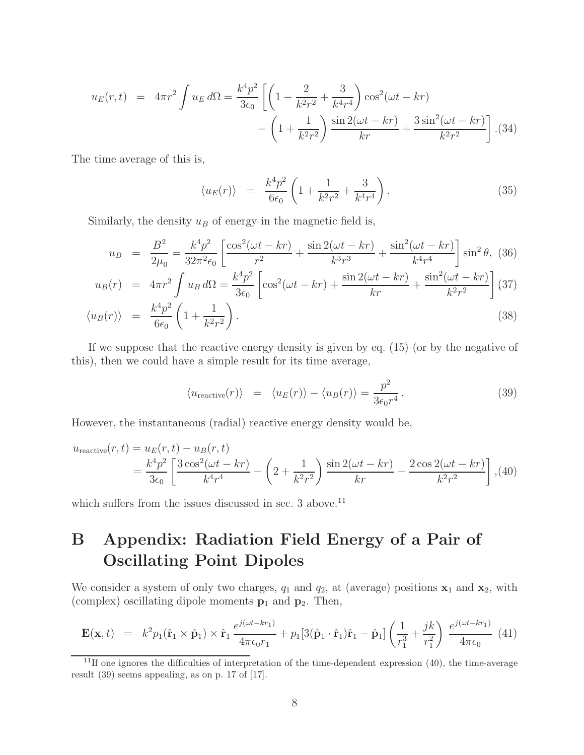$$
u_E(r,t) = 4\pi r^2 \int u_E d\Omega = \frac{k^4 p^2}{3\epsilon_0} \left[ \left( 1 - \frac{2}{k^2 r^2} + \frac{3}{k^4 r^4} \right) \cos^2(\omega t - kr) - \left( 1 + \frac{1}{k^2 r^2} \right) \frac{\sin 2(\omega t - kr)}{kr} + \frac{3 \sin^2(\omega t - kr)}{k^2 r^2} \right].{(34)}
$$

The time average of this is,

$$
\langle u_E(r) \rangle = \frac{k^4 p^2}{6\epsilon_0} \left( 1 + \frac{1}{k^2 r^2} + \frac{3}{k^4 r^4} \right). \tag{35}
$$

Similarly, the density  $u_B$  of energy in the magnetic field is,

$$
u_B = \frac{B^2}{2\mu_0} = \frac{k^4 p^2}{32\pi^2 \epsilon_0} \left[ \frac{\cos^2(\omega t - kr)}{r^2} + \frac{\sin 2(\omega t - kr)}{k^3 r^3} + \frac{\sin^2(\omega t - kr)}{k^4 r^4} \right] \sin^2 \theta, \tag{36}
$$

$$
u_B(r) = 4\pi r^2 \int u_B d\Omega = \frac{k^4 p^2}{3\epsilon_0} \left[ \cos^2(\omega t - kr) + \frac{\sin 2(\omega t - kr)}{kr} + \frac{\sin^2(\omega t - kr)}{k^2 r^2} \right] (37)
$$

$$
\langle u_B(r) \rangle = \frac{k^4 p^2}{6\epsilon_0} \left( 1 + \frac{1}{k^2 r^2} \right). \tag{38}
$$

If we suppose that the reactive energy density is given by eq. (15) (or by the negative of this), then we could have a simple result for its time average,

$$
\langle u_{\text{reactive}}(r) \rangle = \langle u_E(r) \rangle - \langle u_B(r) \rangle = \frac{p^2}{3\epsilon_0 r^4} \,. \tag{39}
$$

However, the instantaneous (radial) reactive energy density would be,

$$
u_{\text{reactive}}(r,t) = u_E(r,t) - u_B(r,t)
$$
  
=  $\frac{k^4 p^2}{3\epsilon_0} \left[ \frac{3 \cos^2(\omega t - kr)}{k^4 r^4} - \left( 2 + \frac{1}{k^2 r^2} \right) \frac{\sin 2(\omega t - kr)}{kr} - \frac{2 \cos 2(\omega t - kr)}{k^2 r^2} \right], (40)$ 

which suffers from the issues discussed in sec.  $3$  above.<sup>11</sup>

# **B Appendix: Radiation Field Energy of a Pair of Oscillating Point Dipoles**

We consider a system of only two charges,  $q_1$  and  $q_2$ , at (average) positions  $\mathbf{x}_1$  and  $\mathbf{x}_2$ , with (complex) oscillating dipole moments **p**<sup>1</sup> and **p**2. Then,

$$
\mathbf{E}(\mathbf{x},t) = k^2 p_1(\hat{\mathbf{r}}_1 \times \hat{\mathbf{p}}_1) \times \hat{\mathbf{r}}_1 \frac{e^{j(\omega t - k r_1)}}{4\pi\epsilon_0 r_1} + p_1[3(\hat{\mathbf{p}}_1 \cdot \hat{\mathbf{r}}_1)\hat{\mathbf{r}}_1 - \hat{\mathbf{p}}_1] \left(\frac{1}{r_1^3} + \frac{jk}{r_1^2}\right) \frac{e^{j(\omega t - k r_1)}}{4\pi\epsilon_0} (41)
$$

 $11$ If one ignores the difficulties of interpretation of the time-dependent expression  $(40)$ , the time-average result (39) seems appealing, as on p. 17 of [17].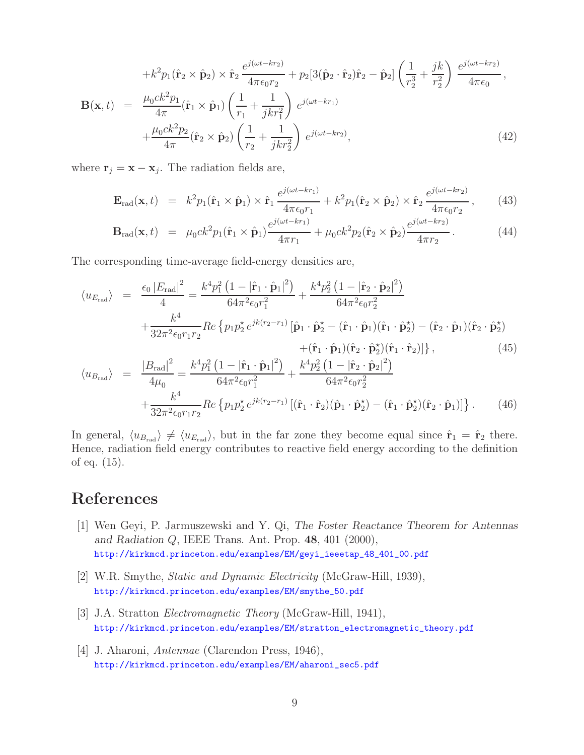$$
+k^{2}p_{1}(\hat{\mathbf{r}}_{2} \times \hat{\mathbf{p}}_{2}) \times \hat{\mathbf{r}}_{2} \frac{e^{j(\omega t - kr_{2})}}{4\pi\epsilon_{0}r_{2}} + p_{2}[3(\hat{\mathbf{p}}_{2} \cdot \hat{\mathbf{r}}_{2})\hat{\mathbf{r}}_{2} - \hat{\mathbf{p}}_{2}] \left(\frac{1}{r_{2}^{3}} + \frac{jk}{r_{2}^{2}}\right) \frac{e^{j(\omega t - kr_{2})}}{4\pi\epsilon_{0}},
$$
  
\n
$$
\mathbf{B}(\mathbf{x}, t) = \frac{\mu_{0}ck^{2}p_{1}}{4\pi}(\hat{\mathbf{r}}_{1} \times \hat{\mathbf{p}}_{1}) \left(\frac{1}{r_{1}} + \frac{1}{jkr_{1}^{2}}\right) e^{j(\omega t - kr_{1})} + \frac{\mu_{0}ck^{2}p_{2}}{4\pi}(\hat{\mathbf{r}}_{2} \times \hat{\mathbf{p}}_{2}) \left(\frac{1}{r_{2}} + \frac{1}{jkr_{2}^{2}}\right) e^{j(\omega t - kr_{2})},
$$
\n(42)

where  $\mathbf{r}_j = \mathbf{x} - \mathbf{x}_j$ . The radiation fields are,

$$
\mathbf{E}_{\rm rad}(\mathbf{x},t) = k^2 p_1(\hat{\mathbf{r}}_1 \times \hat{\mathbf{p}}_1) \times \hat{\mathbf{r}}_1 \frac{e^{j(\omega t - k r_1)}}{4\pi\epsilon_0 r_1} + k^2 p_1(\hat{\mathbf{r}}_2 \times \hat{\mathbf{p}}_2) \times \hat{\mathbf{r}}_2 \frac{e^{j(\omega t - k r_2)}}{4\pi\epsilon_0 r_2}, \quad (43)
$$

$$
\mathbf{B}_{\rm rad}(\mathbf{x},t) = \mu_0 c k^2 p_1(\hat{\mathbf{r}}_1 \times \hat{\mathbf{p}}_1) \frac{e^{j(\omega t - k r_1)}}{4\pi r_1} + \mu_0 c k^2 p_2(\hat{\mathbf{r}}_2 \times \hat{\mathbf{p}}_2) \frac{e^{j(\omega t - k r_2)}}{4\pi r_2}.
$$
 (44)

The corresponding time-average field-energy densities are,

$$
\langle u_{E_{\text{rad}}} \rangle = \frac{\epsilon_0 |E_{\text{rad}}|^2}{4} = \frac{k^4 p_1^2 (1 - |\hat{\mathbf{r}}_1 \cdot \hat{\mathbf{p}}_1|^2)}{64\pi^2 \epsilon_0 r_1^2} + \frac{k^4 p_2^2 (1 - |\hat{\mathbf{r}}_2 \cdot \hat{\mathbf{p}}_2|^2)}{64\pi^2 \epsilon_0 r_2^2} + \frac{k^4}{32\pi^2 \epsilon_0 r_1 r_2} Re \{ p_1 p_2^* e^{jk(r_2 - r_1)} [\hat{\mathbf{p}}_1 \cdot \hat{\mathbf{p}}_2^* - (\hat{\mathbf{r}}_1 \cdot \hat{\mathbf{p}}_1) (\hat{\mathbf{r}}_1 \cdot \hat{\mathbf{p}}_2^*) - (\hat{\mathbf{r}}_2 \cdot \hat{\mathbf{p}}_1) (\hat{\mathbf{r}}_2 \cdot \hat{\mathbf{p}}_2^*) + (\hat{\mathbf{r}}_1 \cdot \hat{\mathbf{p}}_1) (\hat{\mathbf{r}}_2 \cdot \hat{\mathbf{p}}_2^*) (\hat{\mathbf{r}}_1 \cdot \hat{\mathbf{r}}_2)] \}, \qquad (45)
$$
  

$$
\langle u_{B_{\text{rad}}} \rangle = \frac{|B_{\text{rad}}|^2}{4\mu_0} = \frac{k^4 p_1^2 (1 - |\hat{\mathbf{r}}_1 \cdot \hat{\mathbf{p}}_1|^2)}{64\pi^2 \epsilon_0 r_1^2} + \frac{k^4 p_2^2 (1 - |\hat{\mathbf{r}}_2 \cdot \hat{\mathbf{p}}_2|^2)}{64\pi^2 \epsilon_0 r_2^2} + \frac{k^4}{32\pi^2 \epsilon_0 r_1 r_2} Re \{ p_1 p_2^* e^{jk(r_2 - r_1)} [(\hat{\mathbf{r}}_1 \cdot \hat{\mathbf{r}}_2)(\hat{\mathbf{p}}_1 \cdot \hat{\mathbf{p}}_2^*) - (\hat{\mathbf{r}}_1 \cdot \hat{\mathbf{p}}_2^*) (\hat{\mathbf{r}}_2 \cdot \hat{\mathbf{p}}_1)] \}.
$$
 (46)

In general,  $\langle u_{B_{rad}} \rangle \neq \langle u_{E_{rad}} \rangle$ , but in the far zone they become equal since  $\hat{\mathbf{r}}_1 = \hat{\mathbf{r}}_2$  there. Hence, radiation field energy contributes to reactive field energy according to the definition of eq. (15).

## **References**

- [1] Wen Geyi, P. Jarmuszewski and Y. Qi, *The Foster Reactance Theorem for Antennas and Radiation* Q, IEEE Trans. Ant. Prop. **48**, 401 (2000), http://kirkmcd.princeton.edu/examples/EM/geyi\_ieeetap\_48\_401\_00.pdf
- [2] W.R. Smythe, *Static and Dynamic Electricity* (McGraw-Hill, 1939), http://kirkmcd.princeton.edu/examples/EM/smythe\_50.pdf
- [3] J.A. Stratton *Electromagnetic Theory* (McGraw-Hill, 1941), http://kirkmcd.princeton.edu/examples/EM/stratton\_electromagnetic\_theory.pdf
- [4] J. Aharoni, *Antennae* (Clarendon Press, 1946), http://kirkmcd.princeton.edu/examples/EM/aharoni\_sec5.pdf